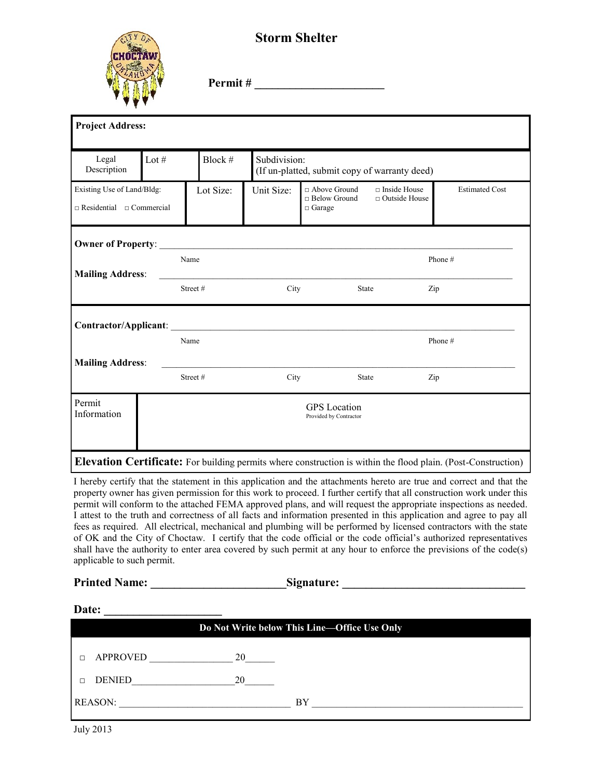

## **Storm Shelter**

**Permit # \_\_\_\_\_\_\_\_\_\_\_\_\_\_\_\_\_\_\_\_\_\_**

| <b>Project Address:</b>                                            |         |                                               |           |                                                               |                                                        |                                             |                                                                                                               |
|--------------------------------------------------------------------|---------|-----------------------------------------------|-----------|---------------------------------------------------------------|--------------------------------------------------------|---------------------------------------------|---------------------------------------------------------------------------------------------------------------|
| Legal<br>Description                                               | Lot $#$ |                                               | Block #   | Subdivision:<br>(If un-platted, submit copy of warranty deed) |                                                        |                                             |                                                                                                               |
| Existing Use of Land/Bldg:<br>$\Box$ Residential $\Box$ Commercial |         |                                               | Lot Size: | Unit Size:                                                    | □ Above Ground<br>$\Box$ Below Ground<br>$\Box$ Garage | $\Box$ Inside House<br>$\Box$ Outside House | <b>Estimated Cost</b>                                                                                         |
|                                                                    |         |                                               |           |                                                               |                                                        |                                             |                                                                                                               |
| <b>Mailing Address:</b>                                            |         | Name                                          |           |                                                               |                                                        |                                             | Phone#                                                                                                        |
|                                                                    |         | Street#                                       |           | City                                                          | State                                                  | Zip                                         |                                                                                                               |
| Contractor/Applicant:                                              |         |                                               |           |                                                               |                                                        |                                             |                                                                                                               |
|                                                                    |         | Name                                          |           |                                                               |                                                        |                                             | Phone#                                                                                                        |
| <b>Mailing Address:</b>                                            |         | Street#                                       |           | City                                                          | State                                                  | Zip                                         |                                                                                                               |
| Permit<br>Information                                              |         | <b>GPS</b> Location<br>Provided by Contractor |           |                                                               |                                                        |                                             |                                                                                                               |
|                                                                    |         |                                               |           |                                                               |                                                        |                                             | Elevation Certificate: For building permits where construction is within the flood plain. (Post-Construction) |

I hereby certify that the statement in this application and the attachments hereto are true and correct and that the property owner has given permission for this work to proceed. I further certify that all construction work under this permit will conform to the attached FEMA approved plans, and will request the appropriate inspections as needed. I attest to the truth and correctness of all facts and information presented in this application and agree to pay all fees as required. All electrical, mechanical and plumbing will be performed by licensed contractors with the state of OK and the City of Choctaw. I certify that the code official or the code official's authorized representatives shall have the authority to enter area covered by such permit at any hour to enforce the previsions of the code(s) applicable to such permit.

| <b>Printed Name:</b> | Signature:                                   |
|----------------------|----------------------------------------------|
| Date:                |                                              |
|                      | Do Not Write below This Line-Office Use Only |

REASON: \_\_\_\_\_\_\_\_\_\_\_\_\_\_\_\_\_\_\_\_\_\_\_\_\_\_\_\_\_\_\_\_\_\_\_ BY \_\_\_\_\_\_\_\_\_\_\_\_\_\_\_\_\_\_\_\_\_\_\_\_\_\_\_\_\_\_\_\_\_\_\_\_\_\_\_\_\_\_\_

| <b>D</b> APPROVED |  |
|-------------------|--|
| DENIED<br>$\Box$  |  |

July 2013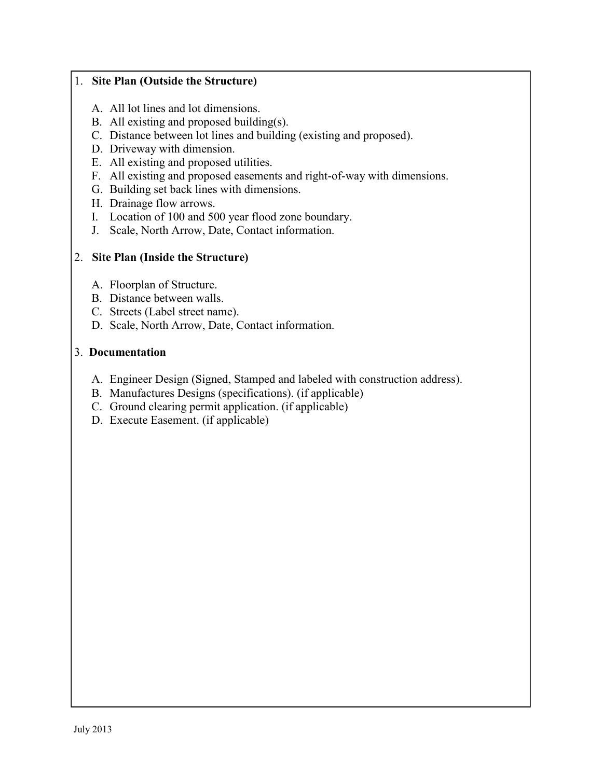## 1. **Site Plan (Outside the Structure)**

- A. All lot lines and lot dimensions.
- B. All existing and proposed building(s).
- C. Distance between lot lines and building (existing and proposed).
- D. Driveway with dimension.
- E. All existing and proposed utilities.
- F. All existing and proposed easements and right-of-way with dimensions.
- G. Building set back lines with dimensions.
- H. Drainage flow arrows.
- I. Location of 100 and 500 year flood zone boundary.
- J. Scale, North Arrow, Date, Contact information.

## 2. **Site Plan (Inside the Structure)**

- A. Floorplan of Structure.
- B. Distance between walls.
- C. Streets (Label street name).
- D. Scale, North Arrow, Date, Contact information.

## 3. **Documentation**

- A. Engineer Design (Signed, Stamped and labeled with construction address).
- B. Manufactures Designs (specifications). (if applicable)
- C. Ground clearing permit application. (if applicable)
- D. Execute Easement. (if applicable)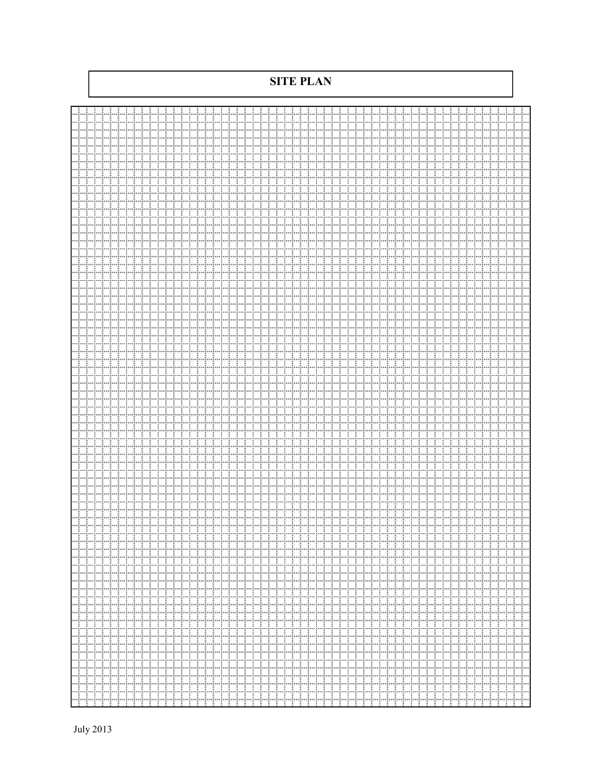**SITE PLAN**